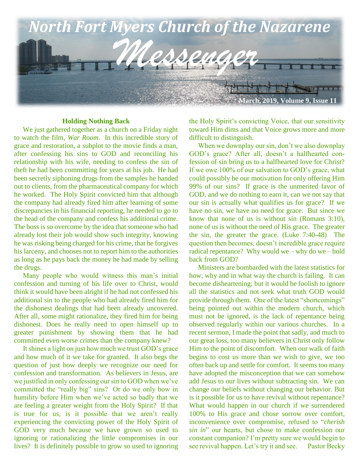

## **Holding Nothing Back**

 We just gathered together as a church on a Friday night to watch the film, *War Room*. In this incredible story of grace and restoration, a subplot to the movie finds a man, after confessing his sins to GOD and reconciling his relationship with his wife, needing to confess the sin of theft he had been committing for years at his job. He had been secretly siphoning drugs from the samples he handed out to clients, from the pharmaceutical company for which he worked. The Holy Spirit convicted him that although the company had already fired him after learning of some discrepancies in his financial reporting, he needed to go to the head of the company and confess his additional crime. The boss is so overcome by the idea that someone who had already lost their job would show such integrity, knowing he was risking being charged for his crime, that he forgives his larceny, and chooses not to report him to the authorities as long as he pays back the money he had made by selling the drugs.

 Many people who would witness this man's initial confession and turning of his life over to Christ, would think it would have been alright if he had not confessed his additional sin to the people who had already fired him for the dishonest dealings that had been already uncovered. After all, some might rationalize, they fired him for being dishonest. Does he really need to open himself up to greater punishment by showing them that he had committed even worse crimes than the company knew?

 It shines a light on just how much we trust GOD's grace and how much of it we take for granted. It also begs the question of just how deeply we recognize our need for confession and transformation. As believers in Jesus, are we justified in only confessing our sin to GOD when we've committed the "really big" sins? Or do we only bow in humility before Him when we've acted so badly that we are feeling a greater weight from the Holy Spirit? If that is true for us, is it possible that we aren't really experiencing the convicting power of the Holy Spirit of GOD very much because we have grown so used to ignoring or rationalizing the little compromises in our lives? It is definitely possible to grow so used to ignoring

the Holy Spirit's convicting Voice, that our sensitivity toward Him dims and that Voice grows more and more difficult to distinguish.

 When we downplay our sin, don't we also downplay GOD's grace? After all, doesn't a halfhearted confession of sin bring us to a halfhearted love for Christ? If we owe 100% of our salvation to GOD's grace, what could possibly be our motivation for only offering Him 99% of our sins? If grace is the unmerited favor of GOD, and we do nothing to earn it, can we not say that our sin is actually what qualifies us for grace? If we have no sin, we have no need for grace. But since we know that none of us is without sin (Romans 3:10), none of us is without the need of His grace. The greater the sin, the greater the grace. (Luke 7:40-48) The question then becomes, doesn't incredible grace require radical repentance? Why would we – why do we – hold back from GOD?

 Ministers are bombarded with the latest statistics for how, why and in what way the church is failing. It can become disheartening; but it would be foolish to ignore all the statistics and not seek what truth GOD would provide through them. One of the latest "shortcomings" being pointed out within the modern church, which must not be ignored, is the lack of repentance being observed regularly within our various churches. In a recent sermon, I made the point that sadly, and much to our great loss, too many believers in Christ only follow Him to the point of discomfort. When our walk of faith begins to cost us more than we wish to give, we too often back up and settle for comfort. It seems too many have adopted the misconception that we can somehow add Jesus to our lives without subtracting sin. We can change our beliefs without changing our behavior. But is it possible for us to have revival without repentance? What would happen in our church if we surrendered 100% to His grace and chose sorrow over comfort, inconvenience over compromise, refused to "*cherish sin in*" our hearts, but chose to make confession our constant companion? I'm pretty sure we would begin to see revival happen. Let's try it and see. Pastor Becky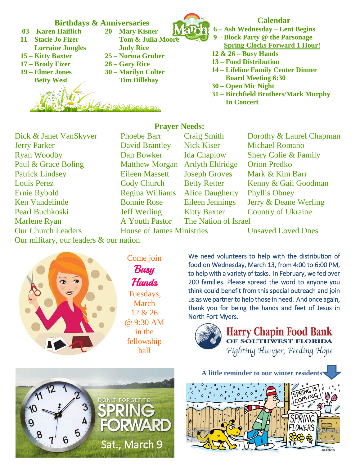

Jerry Parker David Brantley Nick Kiser Michael Romano Ryan Woodby Dan Bowker Ida Chaplow Shery Colie & Family Paul & Grace Boling Matthew Morgan Ardyth Eldridge Orion Predko Ken Vandelinde Bonnie Rose Eileen Jennings Jerry & Deane Werling Pearl Buchkoski Jeff Werling Kitty Baxter Country of Ukraine Marlene Ryan A Youth Pastor The Nation of Israel Our Church Leaders House of James Ministries Unsaved Loved Ones **Patrick Lindsey Louis Perez Ernie Rybold** 

**Prayer Needs:** Regina Williams Alice Daugherty Phyllis Obney

Dick & Janet VanSkyver Phoebe Barr Craig Smith Dorothy & Laurel Chapman Eileen Massett Joseph Groves Mark & Kim Barr Cody Church Betty Retter Kenny & Gail Goodman

Our military, our leaders & our nation



Come join **Busy** Hands Tuesdays, March 12 & 26 @ 9:30 AM in the fellowship hall

We need volunteers to help with the distribution of food on Wednesday, March 13, from 4:00 to 6:00 PM, to help with a variety of tasks. In February, we fed over 200 families. Please spread the word to anyone you think could benefit from this special outreach and join us as we partner to help those in need. And once again, thank you for being the hands and feet of Jesus in North Fort Myers.



**Harry Chapin Food Bank** OF SOUTHWEST FLORIDA Fighting Hunger, Feeding Hope



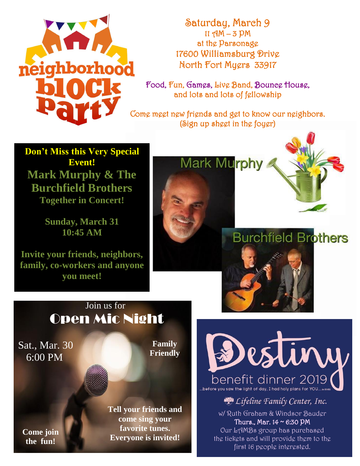

Saturday, March 9  $11$   $9M - 3$   $PM$ at the Parsonage 17600 Williamsburg Drive North Fort Myers 33917

Food, Fun, Games, Live Band, Bounce House, and lots and lots of fellowship

Come meet new friends and get to know our neighbors. (Sign up sheet in the foyer)

**Don't Miss this Very Special Event! Mark Murphy & The Burchfield Brothers Together in Concert!**

> **Sunday, March 31 10:45 AM**

**Invite your friends, neighbors, family, co-workers and anyone you meet!**





## **Burchfield Brothers**



## Join us for Open Mic Night

Sat., Mar. 30 6:00 PM

**Family Friendly**

**Come join the fun!**

**Tell your friends and come sing your favorite tunes. Everyone is invited!**

estiny benefit dinner 2019 before you saw the light of day, I had holy plans for YOL

Eifeline Family Center, Inc.

w/ Ruth Graham & Windsor Bauder Thurs., Mar.  $14 \sim 6:30$  PM Our LAMBs group has purchased the tickets and will provide them to the first 16 people interested.